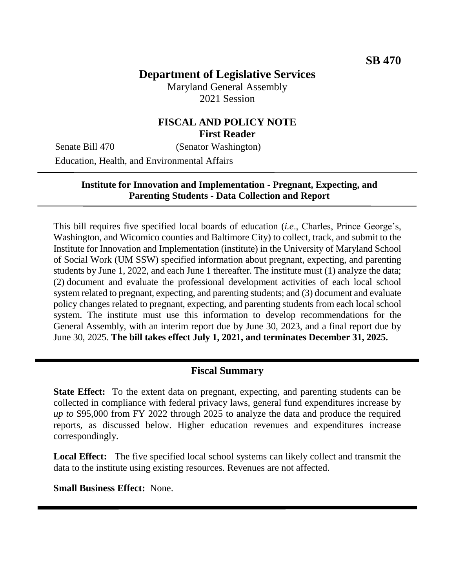# **Department of Legislative Services**

Maryland General Assembly 2021 Session

### **FISCAL AND POLICY NOTE First Reader**

Senate Bill 470 (Senator Washington)

Education, Health, and Environmental Affairs

#### **Institute for Innovation and Implementation - Pregnant, Expecting, and Parenting Students - Data Collection and Report**

This bill requires five specified local boards of education (*i.e*., Charles, Prince George's, Washington, and Wicomico counties and Baltimore City) to collect, track, and submit to the Institute for Innovation and Implementation (institute) in the University of Maryland School of Social Work (UM SSW) specified information about pregnant, expecting, and parenting students by June 1, 2022, and each June 1 thereafter. The institute must (1) analyze the data; (2) document and evaluate the professional development activities of each local school system related to pregnant, expecting, and parenting students; and (3) document and evaluate policy changes related to pregnant, expecting, and parenting students from each local school system. The institute must use this information to develop recommendations for the General Assembly, with an interim report due by June 30, 2023, and a final report due by June 30, 2025. **The bill takes effect July 1, 2021, and terminates December 31, 2025.**

### **Fiscal Summary**

**State Effect:** To the extent data on pregnant, expecting, and parenting students can be collected in compliance with federal privacy laws, general fund expenditures increase by *up to* \$95,000 from FY 2022 through 2025 to analyze the data and produce the required reports, as discussed below. Higher education revenues and expenditures increase correspondingly.

**Local Effect:** The five specified local school systems can likely collect and transmit the data to the institute using existing resources. Revenues are not affected.

**Small Business Effect:** None.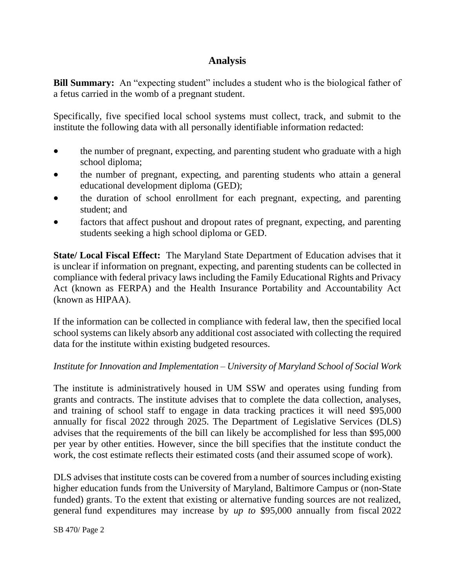# **Analysis**

**Bill Summary:** An "expecting student" includes a student who is the biological father of a fetus carried in the womb of a pregnant student.

Specifically, five specified local school systems must collect, track, and submit to the institute the following data with all personally identifiable information redacted:

- the number of pregnant, expecting, and parenting student who graduate with a high school diploma;
- the number of pregnant, expecting, and parenting students who attain a general educational development diploma (GED);
- the duration of school enrollment for each pregnant, expecting, and parenting student; and
- factors that affect pushout and dropout rates of pregnant, expecting, and parenting students seeking a high school diploma or GED.

**State/ Local Fiscal Effect:** The Maryland State Department of Education advises that it is unclear if information on pregnant, expecting, and parenting students can be collected in compliance with federal privacy laws including the Family Educational Rights and Privacy Act (known as FERPA) and the Health Insurance Portability and Accountability Act (known as HIPAA).

If the information can be collected in compliance with federal law, then the specified local school systems can likely absorb any additional cost associated with collecting the required data for the institute within existing budgeted resources.

#### *Institute for Innovation and Implementation – University of Maryland School of Social Work*

The institute is administratively housed in UM SSW and operates using funding from grants and contracts. The institute advises that to complete the data collection, analyses, and training of school staff to engage in data tracking practices it will need \$95,000 annually for fiscal 2022 through 2025. The Department of Legislative Services (DLS) advises that the requirements of the bill can likely be accomplished for less than \$95,000 per year by other entities. However, since the bill specifies that the institute conduct the work, the cost estimate reflects their estimated costs (and their assumed scope of work).

DLS advises that institute costs can be covered from a number of sources including existing higher education funds from the University of Maryland, Baltimore Campus or (non-State funded) grants. To the extent that existing or alternative funding sources are not realized, general fund expenditures may increase by *up to* \$95,000 annually from fiscal 2022